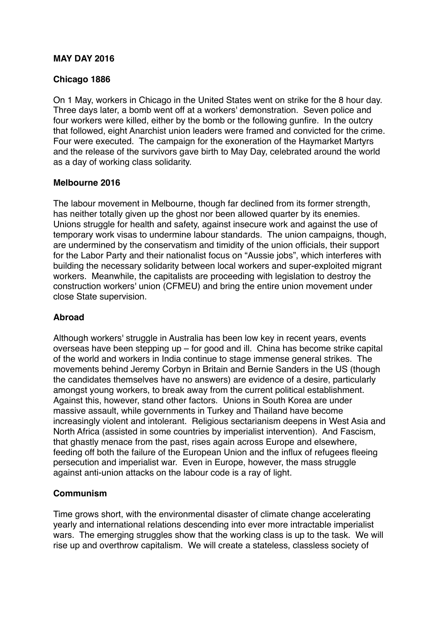### **MAY DAY 2016**

### **Chicago 1886**

On 1 May, workers in Chicago in the United States went on strike for the 8 hour day. Three days later, a bomb went off at a workers' demonstration. Seven police and four workers were killed, either by the bomb or the following gunfire. In the outcry that followed, eight Anarchist union leaders were framed and convicted for the crime. Four were executed. The campaign for the exoneration of the Haymarket Martyrs and the release of the survivors gave birth to May Day, celebrated around the world as a day of working class solidarity.

#### **Melbourne 2016**

The labour movement in Melbourne, though far declined from its former strength, has neither totally given up the ghost nor been allowed quarter by its enemies. Unions struggle for health and safety, against insecure work and against the use of temporary work visas to undermine labour standards. The union campaigns, though, are undermined by the conservatism and timidity of the union officials, their support for the Labor Party and their nationalist focus on "Aussie jobs", which interferes with building the necessary solidarity between local workers and super-exploited migrant workers. Meanwhile, the capitalists are proceeding with legislation to destroy the construction workers' union (CFMEU) and bring the entire union movement under close State supervision.

## **Abroad**

Although workers' struggle in Australia has been low key in recent years, events overseas have been stepping up – for good and ill. China has become strike capital of the world and workers in India continue to stage immense general strikes. The movements behind Jeremy Corbyn in Britain and Bernie Sanders in the US (though the candidates themselves have no answers) are evidence of a desire, particularly amongst young workers, to break away from the current political establishment. Against this, however, stand other factors. Unions in South Korea are under massive assault, while governments in Turkey and Thailand have become increasingly violent and intolerant. Religious sectarianism deepens in West Asia and North Africa (assisted in some countries by imperialist intervention). And Fascism, that ghastly menace from the past, rises again across Europe and elsewhere, feeding off both the failure of the European Union and the influx of refugees fleeing persecution and imperialist war. Even in Europe, however, the mass struggle against anti-union attacks on the labour code is a ray of light.

## **Communism**

Time grows short, with the environmental disaster of climate change accelerating yearly and international relations descending into ever more intractable imperialist wars. The emerging struggles show that the working class is up to the task. We will rise up and overthrow capitalism. We will create a stateless, classless society of